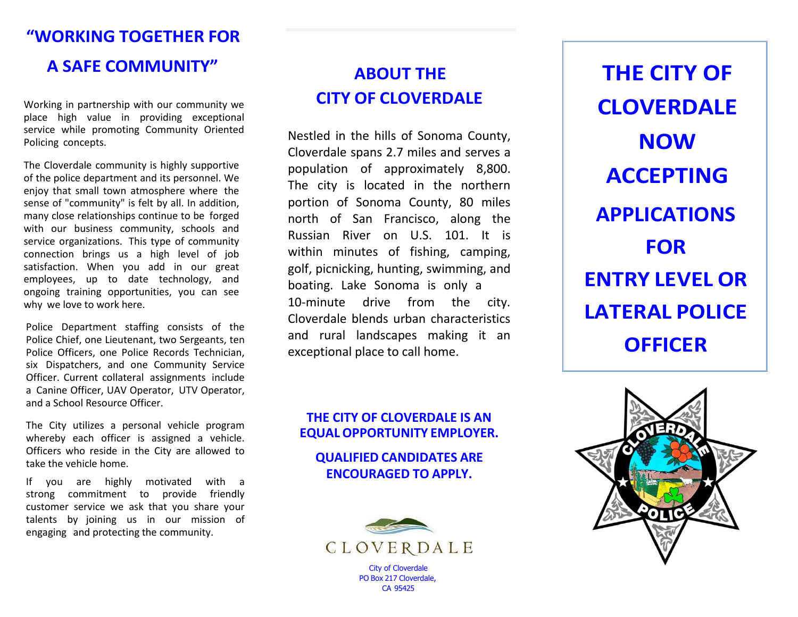## **"WORKING TOGETHER FOR**

## **A SAFE COMMUNITY"**

Working in partnership with our community we place high value in providing exceptional service while promoting Community Oriented Policing concepts.

The Cloverdale community is highly supportive of the police department and its personnel. We enjoy that small town atmosphere where the sense of "community" is felt by all. In addition, many close relationships continue to be forged with our business community, schools and service organizations. This type of community connection brings us a high level of job satisfaction. When you add in our great employees, up to date technology, and ongoing training opportunities, you can see why we love to work here.

Police Department staffing consists of the Police Chief, one Lieutenant, two Sergeants, ten Police Officers, one Police Records Technician, six Dispatchers, and one Community Service Officer. Current collateral assignments include a Canine Officer, UAV Operator, UTV Operator, and a School Resource Officer.

The City utilizes a personal vehicle program whereby each officer is assigned a vehicle. Officers who reside in the City are allowed to take the vehicle home.

If you are highly motivated with a strong commitment to provide friendly customer service we ask that you share your talents by joining us in our mission of engaging and protecting the community.

## **ABOUT THE CITY OF CLOVERDALE**

Nestled in the hills of Sonoma County, Cloverdale spans 2.7 miles and serves a population of approximately 8,800. The city is located in the northern portion of Sonoma County, 80 miles north of San Francisco, along the Russian River on U.S. 101. It is within minutes of fishing, camping, golf, picnicking, hunting, swimming, and boating. Lake Sonoma is only a 10-minute drive from the city. Cloverdale blends urban characteristics and rural landscapes making it an exceptional place to call home.

#### **THE CITY OF CLOVERDALE IS AN EQUAL OPPORTUNITY EMPLOYER.**

**QUALIFIED CANDIDATES ARE ENCOURAGED TO APPLY.**



**THE CITY OF CLOVERDALE NOW ACCEPTING APPLICATIONS FOR ENTRY LEVEL OR LATERAL POLICE OFFICER**